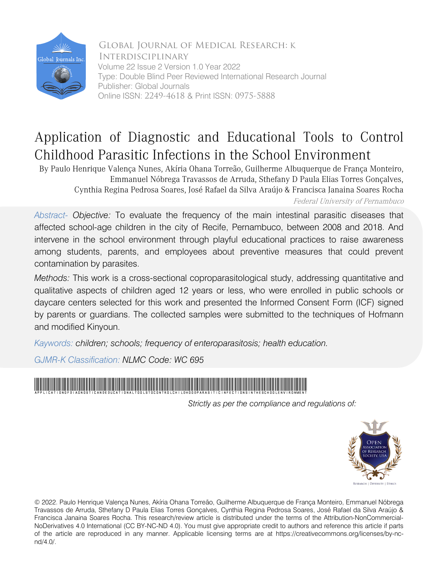

 Global Journal of Medical Research: K Interdisciplinary Volume 22 Issue 2 Version 1.0 Year 2022 Type: Double Blind Peer Reviewed International Research Journal Publisher: Global Journals Online ISSN: 2249-4618 & Print ISSN: 0975-5888

## Application of Diagnostic and Educational Tools to Control Childhood Parasitic Infections in the School Environment

By Paulo Henrique Valença Nunes, Akíria Ohana Torreão, Guilherme Albuquerque de França Monteiro, Emmanuel Nóbrega Travassos de Arruda, Sthefany D Paula Elias Torres Gonçalves, Cynthia Regina Pedrosa Soares, José Rafael da Silva Araújo & Francisca Janaina Soares Rocha Federal University of Pernambuco

*Abstract- Objective:* To evaluate the frequency of the main intestinal parasitic diseases that affected school-age children in the city of Recife, Pernambuco, between 2008 and 2018. And intervene in the school environment through playful educational practices to raise awareness among students, parents, and employees about preventive measures that could prevent contamination by parasites.

*Methods:* This work is a cross-sectional coproparasitological study, addressing quantitative and qualitative aspects of children aged 12 years or less, who were enrolled in public schools or daycare centers selected for this work and presented the Informed Consent Form (ICF) signed by parents or guardians. The collected samples were submitted to the techniques of Hofmann and modified Kinyoun.

*Kaywords: children; schools; frequency of enteroparasitosis; health education.*

*GJMR-K Classification: NLMC Code: WC 695*



 *Strictly as per the compliance and regulations of:*



© 2022. Paulo Henrique Valença Nunes, Akíria Ohana Torreão, Guilherme Albuquerque de França Monteiro, Emmanuel Nóbrega Travassos de Arruda, Sthefany D Paula Elias Torres Gonçalves, Cynthia Regina Pedrosa Soares, José Rafael da Silva Araújo & Francisca Janaina Soares Rocha. This research/review article is distributed under the terms of the Attribution-NonCommercial-NoDerivatives 4.0 International (CC BY-NC-ND 4.0). You must give appropriate credit to authors and reference this article if parts of the article are reproduced in any manner. Applicable licensing terms are at https://creativecommons.org/licenses/by-ncnd/4.0/.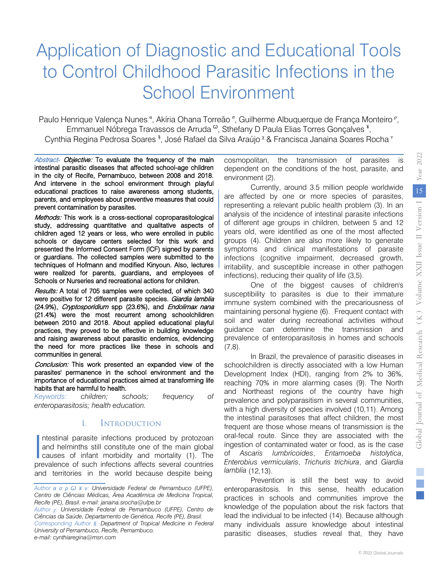# Application of Diagnostic and Educational Tools to Control Childhood Parasitic Infections in the School Environment

Emmanuel Nóbrega Travassos de Arruda <sup>ω</sup>, Sthefany D Paula Elias Torres Gonçalves <sup>¥</sup>, Paulo Henrique Valença Nunes<sup>a</sup>, Akíria Ohana Torreão<sup>6</sup>, Guilherme Albuquerque de França Monteiro<sup>P</sup>, Cynthia Regina Pedrosa Soares <sup>§</sup>, José Rafael da Silva Araújo <sup>x</sup> & Francisca Janaina Soares Rocha <sup>v</sup>

Abstract- Objective: To evaluate the frequency of the main intestinal parasitic diseases that affected school-age children in the city of Recife, Pernambuco, between 2008 and 2018. And intervene in the school environment through playful educational practices to raise awareness among students, parents, and employees about preventive measures that could prevent contamination by parasites.

Methods: This work is a cross-sectional coproparasitological study, addressing quantitative and qualitative aspects of children aged 12 years or less, who were enrolled in public schools or daycare centers selected for this work and presented the Informed Consent Form (ICF) signed by parents or guardians. The collected samples were submitted to the techniques of Hofmann and modified Kinyoun. Also, lectures were realized for parents, guardians, and employees of Schools or Nurseries and recreational actions for children.

Results: A total of 705 samples were collected, of which 340 were positive for 12 different parasite species. Giardia lamblia (24.9%), Cryptosporidium spp (23.6%), and Endolimax nana (21.4%) were the most recurrent among schoolchildren between 2010 and 2018. About applied educational playful practices, they proved to be effective in building knowledge and raising awareness about parasitic endemics, evidencing the need for more practices like these in schools and communities in general.

Conclusion: This work presented an expanded view of the parasites' permanence in the school environment and the importance of educational practices aimed at transforming life habits that are harmful to health.

*Keywords: children; schools; frequency of enteroparasitosis; health education.*

## I. Introduction

ntestinal parasite infections produced by protozoan and helminths still constitute one of the main global Intestinal parasite infections produced by protozoan<br>and helminths still constitute one of the main global<br>causes of infant morbidity and mortality (1). The<br>provelance of such infections affects soveral counties prevalence of such infections affects several countries and territories in the world because despite being

*Author χ: Universidade Federal de Pernambuco (UFPE), Centro de Ciências da Saúde, Departamento de Genética, Recife (PE), Brasil.*

*Corresponding Author §: Department of Tropical Medicine in Federal University of Pernambuco, Recife, Pernambuco.* 

*e-mail: cynthiaregina@msn.com*

cosmopolitan, the transmission of parasites is dependent on the conditions of the host, parasite, and environment (2).

Currently, around 3.5 million people worldwide are affected by one or more species of parasites, representing a relevant public health problem (3). In an analysis of the incidence of intestinal parasite infections of different age groups in children, between 5 and 12 years old, were identified as one of the most affected groups (4). Children are also more likely to generate symptoms and clinical manifestations of parasite infections (cognitive impairment, decreased growth, irritability, and susceptible increase in other pathogen infections), reducing their quality of life (3,5).

One of the biggest causes of children's susceptibility to parasites is due to their immature immune system combined with the precariousness of maintaining personal hygiene (6). Frequent contact with soil and water during recreational activities without guidance can determine the transmission and prevalence of enteroparasitosis in homes and schools  $(7,8)$ .

In Brazil, the prevalence of parasitic diseases in schoolchildren is directly associated with a low Human Development Index (HDI), ranging from 2% to 36%, reaching 70% in more alarming cases (9). The North and Northeast regions of the country have high prevalence and polyparasitism in several communities, with a high diversity of species involved (10,11). Among the intestinal parasitoses that affect children, the most frequent are those whose means of transmission is the oral-fecal route. Since they are associated with the ingestion of contaminated water or food, as is the case of *Ascaris lumbricoides*, *Entamoeba histolytica*, *Enterobius vermicularis*, *Trichuris trichiura*, and *Giardia lamblia* (12,13).

Prevention is still the best way to avoid enteroparasitosis. In this sense, health education practices in schools and communities improve the knowledge of the population about the risk factors that lead the individual to be infected (14). Because although many individuals assure knowledge about intestinal parasitic diseases, studies reveal that, they have

*Author α σ ρ Ѡ ¥ ν: Universidade Federal de Pernambuco (UFPE), Centro de Ciências Médicas, Área Acadêmica de Medicina Tropical, Recife (PE), Brasil. e-mail: janaina.srocha@ufpe.br*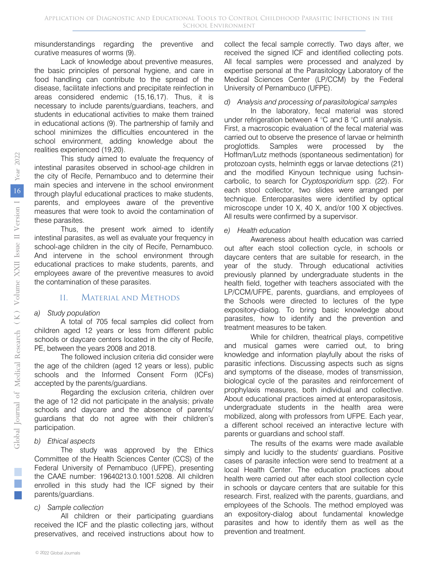misunderstandings regarding the preventive and curative measures of worms (9).

Lack of knowledge about preventive measures, the basic principles of personal hygiene, and care in food handling can contribute to the spread of the disease, facilitate infections and precipitate reinfection in areas considered endemic (15,16,17). Thus, it is necessary to include parents/guardians, teachers, and students in educational activities to make them trained in educational actions (9). The partnership of family and school minimizes the difficulties encountered in the school environment, adding knowledge about the realities experienced (19,20).

This study aimed to evaluate the frequency of intestinal parasites observed in school-age children in the city of Recife, Pernambuco and to determine their main species and intervene in the school environment through playful educational practices to make students, parents, and employees aware of the preventive measures that were took to avoid the contamination of these parasites.

Thus, the present work aimed to identify intestinal parasites, as well as evaluate your frequency in school-age children in the city of Recife, Pernambuco. And intervene in the school environment through educational practices to make students, parents, and employees aware of the preventive measures to avoid the contamination of these parasites.

## II. Material and Methods

#### *a) Study population*

A total of 705 fecal samples did collect from children aged 12 years or less from different public schools or daycare centers located in the city of Recife, PE, between the years 2008 and 2018.

The followed inclusion criteria did consider were the age of the children (aged 12 years or less), public schools and the Informed Consent Form (ICFs) accepted by the parents/guardians.

Regarding the exclusion criteria, children over the age of 12 did not participate in the analysis; private schools and daycare and the absence of parents/ guardians that do not agree with their children's participation.

#### *b) Ethical aspects*

The study was approved by the Ethics Committee of the Health Sciences Center (CCS) of the Federal University of Pernambuco (UFPE), presenting the CAAE number: 19640213.0.1001.5208. All children enrolled in this study had the ICF signed by their parents/guardians.

#### *c) Sample collection*

All children or their participating guardians received the ICF and the plastic collecting jars, without preservatives, and received instructions about how to collect the fecal sample correctly. Two days after, we received the signed ICF and identified collecting pots. All fecal samples were processed and analyzed by expertise personal at the Parasitology Laboratory of the Medical Sciences Center (LP/CCM) by the Federal University of Pernambuco (UFPE).

## *d) Analysis and processing of parasitological samples*

In the laboratory, fecal material was stored under refrigeration between 4 °C and 8 °C until analysis. First, a macroscopic evaluation of the fecal material was carried out to observe the presence of larvae or helminth proglottids. Samples were processed by the Hoffman/Lutz methods (spontaneous sedimentation) for protozoan cysts, helminth eggs or larvae detections (21) and the modified Kinyoun technique using fuchsincarbolic, to search for *Cryptosporidium* spp. (22). For each stool collector, two slides were arranged per technique. Enteroparasites were identified by optical microscope under 10 X, 40 X, and/or 100 X objectives. All results were confirmed by a supervisor.

#### *e) Health education*

Awareness about health education was carried out after each stool collection cycle, in schools or daycare centers that are suitable for research, in the year of the study. Through educational activities previously planned by undergraduate students in the health field, together with teachers associated with the LP/CCM/UFPE, parents, guardians, and employees of the Schools were directed to lectures of the type expository-dialog. To bring basic knowledge about parasites, how to identify and the prevention and treatment measures to be taken.

While for children, theatrical plays, competitive and musical games were carried out, to bring knowledge and information playfully about the risks of parasitic infections. Discussing aspects such as signs and symptoms of the disease, modes of transmission, biological cycle of the parasites and reinforcement of prophylaxis measures, both individual and collective. About educational practices aimed at enteroparasitosis, undergraduate students in the health area were mobilized, along with professors from UFPE. Each year, a different school received an interactive lecture with parents or guardians and school staff.

The results of the exams were made available simply and lucidly to the students' guardians. Positive cases of parasite infection were send to treatment at a local Health Center. The education practices about health were carried out after each stool collection cycle in schools or daycare centers that are suitable for this research. First, realized with the parents, guardians, and employees of the Schools. The method employed was an expository-dialog about fundamental knowledge parasites and how to identify them as well as the prevention and treatment.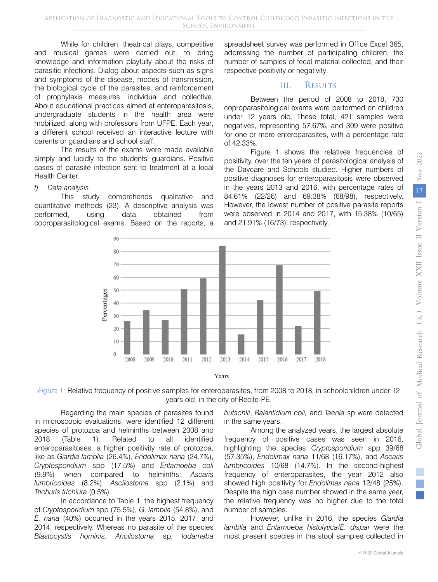While for children, theatrical plays, competitive and musical games were carried out, to bring knowledge and information playfully about the risks of parasitic infections. Dialog about aspects such as signs and symptoms of the disease, modes of transmission, the biological cycle of the parasites, and reinforcement of prophylaxis measures, individual and collective. About educational practices aimed at enteroparasitosis, undergraduate students in the health area were mobilized, along with professors from UFPE. Each year, a different school received an interactive lecture with parents or guardians and school staff.

The results of the exams were made available simply and lucidly to the students' guardians. Positive cases of parasite infection sent to treatment at a local Health Center.

#### *f) Data analysis*

This study comprehends qualitative and quantitative methods (23). A descriptive analysis was performed, using data obtained from coproparasitological exams. Based on the reports, a

spreadsheet survey was performed in Office Excel 365, addressing the number of participating children, the number of samples of fecal material collected, and their respective positivity or negativity.

### III. Results

Between the period of 2008 to 2018, 730 coproparasitological exams were performed on children under 12 years old. These total, 421 samples were negatives, representing 57.67%, and 309 were positive for one or more enteroparasites, with a percentage rate of 42.33%.

Figure 1 shows the relatives frequencies of positivity, over the ten years of parasitological analysis of the Daycare and Schools studied. Higher numbers of positive diagnoses for enteroparasitosis were observed in the years 2013 and 2016, with percentage rates of 84.61% (22/26) and 69.38% (68/98), respectively. However, the lowest number of positive parasite reports were observed in 2014 and 2017, with 15.38% (10/65) and 21.91% (16/73), respectively.





Regarding the main species of parasites found in microscopic evaluations, were identified 12 different species of protozoa and helminths between 2008 and 2018 (Table 1). Related to all identified enteroparasitoses, a higher positivity rate of protozoa, like as *Giardia lamblia* (26.4%), *Endolimax nana* (24.7%), *Cryptosporidium* spp (17.5%) and *Entamoeba coli* (9.9%) when compared to helminths: *Ascaris lumbricoides* (8.2%), *Ascilostoma* spp (2.1%) and *Trichuris trichiura* (0.5%).

In accordance to Table 1, the highest frequency of *Cryptosporidium* spp (75.5%), *G. lamblia* (54.8%), and *E. nana* (40%) occurred in the years 2015, 2017, and 2014, respectively. Whereas no parasite of the species *Blastocystis hominis, Ancilostoma* sp, *Iodameba*  *butschlii*, *Balantidium coli,* and *Taenia* sp were detected in the same years.

Among the analyzed years, the largest absolute frequency of positive cases was seen in 2016, highlighting the species *Cryptosporidium* spp 39/68 (57.35%), *Endolimax nana* 11/68 (16.17%), and *Ascaris lumbricoides* 10/68 (14.7%). In the second-highest frequency of enteroparasites, the year 2012 also showed high positivity for *Endolimax nana* 12/48 (25%). Despite the high case number showed in the same year, the relative frequency was no higher due to the total number of samples.

However, unlike in 2016, the species *Giardia lamblia* and *Entamoeba histolytica/E. dispar* were the most present species in the stool samples collected in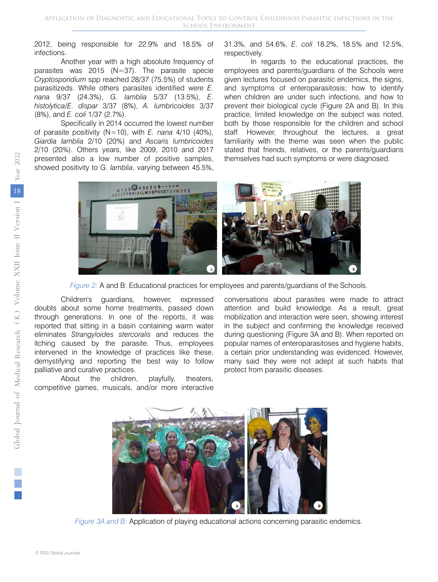2012, being responsible for 22.9% and 18.5% of infections.

Another year with a high absolute frequency of parasites was 2015 (N=37). The parasite specie *Cryptosporidium* spp reached 28/37 (75.5%) of students parasitizeds. While others parasites identified were *E. nana* 9/37 (24.3%), *G. lamblia* 5/37 (13.5%), *E. histolytica/E. dispar* 3/37 (8%), *A. lumbricoides* 3/37 (8%), and *E. coli* 1/37 (2.7%).

Specifically in 2014 occurred the lowest number of parasite positivity (N=10), with *E. nana* 4/10 (40%), *Giardia lamblia* 2/10 (20%) and *Ascaris lumbricoides* 2/10 (20%). Others years, like 2009, 2010 and 2017 presented also a low number of positive samples, showed positivity to *G. lamblia*, varying between 45.5%,

#### 31.3%, and 54.6%, *E. coli* 18.2%, 18.5% and 12.5%, respectively.

In regards to the educational practices, the employees and parents/guardians of the Schools were given lectures focused on parasitic endemics, the signs, and symptoms of enteroparasitosis; how to identify when children are under such infections, and how to prevent their biological cycle (Figure 2A and B). In this practice, limited knowledge on the subject was noted, both by those responsible for the children and school staff. However, throughout the lectures, a great familiarity with the theme was seen when the public stated that friends, relatives, or the parents/guardians themselves had such symptoms or were diagnosed.



*Figure 2:* A and B: Educational practices for employees and parents/guardians of the Schools.

Children's guardians, however, expressed doubts about some home treatments, passed down through generations. In one of the reports, it was reported that sitting in a basin containing warm water eliminates *Strangyloides stercoralis* and reduces the itching caused by the parasite. Thus, employees intervened in the knowledge of practices like these, demystifying and reporting the best way to follow palliative and curative practices.

About the children, playfully, theaters, competitive games, musicals, and/or more interactive conversations about parasites were made to attract attention and build knowledge. As a result, great mobilization and interaction were seen, showing interest in the subject and confirming the knowledge received during questioning (Figure 3A and B). When reported on popular names of enteroparasitoses and hygiene habits, a certain prior understanding was evidenced. However, many said they were not adept at such habits that protect from parasitic diseases.



*Figure 3A and B:* Application of playing educational actions concerning parasitic endemics.

T.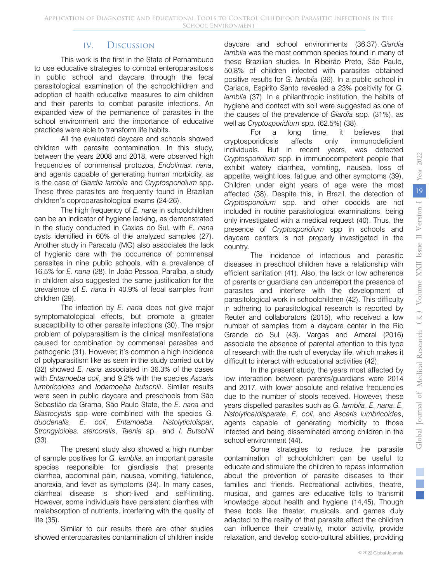## IV. Discussion

This work is the first in the State of Pernambuco to use educative strategies to combat enteroparasitosis in public school and daycare through the fecal parasitological examination of the schoolchildren and adoption of health educative measures to aim children and their parents to combat parasite infections. An expanded view of the permanence of parasites in the school environment and the importance of educative practices were able to transform life habits.

All the evaluated daycare and schools showed children with parasite contamination. In this study, between the years 2008 and 2018, were observed high frequencies of commensal protozoa, *Endolimax. nana*, and agents capable of generating human morbidity, as is the case of *Giardia lamblia* and *Cryptosporidium* spp. These three parasites are frequently found in Brazilian children's coproparasitological exams (24-26).

The high frequency of *E. nana* in schoolchildren can be an indicator of hygiene lacking, as demonstrated in the study conducted in Caxias do Sul, with *E. nana* cysts identified in 60% of the analyzed samples (27). Another study in Paracatu (MG) also associates the lack of hygienic care with the occurrence of commensal parasites in nine public schools, with a prevalence of 16.5% for *E. nana* (28). In João Pessoa, Paraíba, a study in children also suggested the same justification for the prevalence of *E. nana* in 40.9% of fecal samples from children (29).

The infection by *E. nana* does not give major symptomatological effects, but promote a greater susceptibility to other parasite infections (30). The major problem of polyparasitism is the clinical manifestations caused for combination by commensal parasites and pathogenic (31). However, it's common a high incidence of polyparasitism like as seen in the study carried out by (32) showed *E. nana* associated in 36.3% of the cases with *Entamoeba coli*, and 9.2% with the species *Ascaris lumbricoides* and *Iodamoeba butschlii*. Similar results were seen in public daycare and preschools from São Sebastião da Grama, São Paulo State, the *E. nana* and *Blastocystis* spp were combined with the species *G. duodenalis*, *E. coli*, *Entamoeba. histolytic/dispar*, *Strongyloides. stercoralis*, *Taenia* sp., and *I. Butschlii*  (33).

The present study also showed a high number of sample positives for *G. lamblia*, an important parasite species responsible for giardiasis that presents diarrhea, abdominal pain, nausea, vomiting, flatulence, anorexia, and fever as symptoms (34). In many cases, diarrheal disease is short-lived and self-limiting. However, some individuals have persistent diarrhea with malabsorption of nutrients, interfering with the quality of life (35).

Similar to our results there are other studies showed enteroparasites contamination of children inside daycare and school environments (36,37). *Giardia lamblia* was the most common species found in many of these Brazilian studies. In Ribeirão Preto, São Paulo, 50.8% of children infected with parasites obtained positive results for *G. lamblia* (36). In a public school in Cariaca, Espirito Santo revealed a 23% positivity for *G. lamblia* (37). In a philanthropic institution, the habits of hygiene and contact with soil were suggested as one of the causes of the prevalence of *Giardia* spp. (31%), as well as *Cryptosporidium* spp. (62.5%) (38).

For a long time, it believes that cryptosporidiosis affects only immunodeficient individuals. But in recent years, was detected *Cryptosporidium* spp. in immunocompetent people that exhibit watery diarrhea, vomiting, nausea, loss of appetite, weight loss, fatigue, and other symptoms (39). Children under eight years of age were the most affected (38). Despite this, in Brazil, the detection of *Cryptosporidium* spp. and other coccids are not included in routine parasitological examinations, being only investigated with a medical request (40). Thus, the presence of *Cryptosporidium* spp in schools and daycare centers is not properly investigated in the country.

The incidence of infectious and parasitic diseases in preschool children have a relationship with efficient sanitation (41). Also, the lack or low adherence of parents or guardians can underreport the presence of parasites and interfere with the development of parasitological work in schoolchildren (42). This difficulty in adhering to parasitological research is reported by Reuter and collaborators (2015), who received a low number of samples from a daycare center in the Rio Grande do Sul (43). Vargas and Amaral (2016) associate the absence of parental attention to this type of research with the rush of everyday life, which makes it difficult to interact with educational activities (42).

In the present study, the years most affected by low interaction between parents/guardians were 2014 and 2017, with lower absolute and relative frequencies due to the number of stools received. However, these years dispelled parasites such as *G. lamblia*, *E. nana*, *E. histolytica*/*disparate*, *E. coli*, and *Ascaris lumbricoides*, agents capable of generating morbidity to those infected and being disseminated among children in the school environment (44).

Some strategies to reduce the parasite contamination of schoolchildren can be useful to educate and stimulate the children to repass information about the prevention of parasite diseases to their families and friends. Recreational activities, theatre, musical, and games are educative tolls to transmit knowledge about health and hygiene (14,45). Though these tools like theater, musicals, and games duly adapted to the reality of that parasite affect the children can influence their creativity, motor activity, provide relaxation, and develop socio-cultural abilities, providing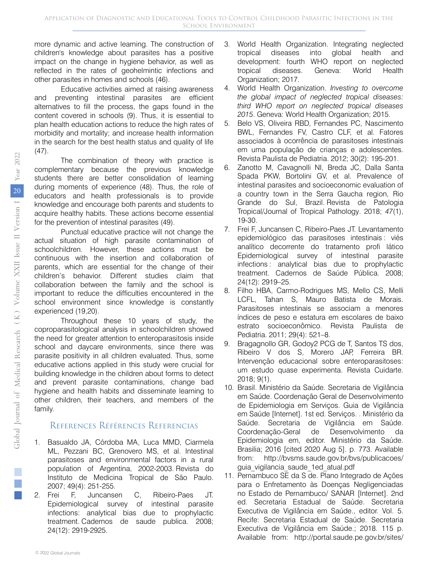more dynamic and active learning. The construction of children's knowledge about parasites has a positive impact on the change in hygiene behavior, as well as reflected in the rates of geohelmintic infections and other parasites in homes and schools (46).

Educative activities aimed at raising awareness and preventing intestinal parasites are efficient alternatives to fill the process, the gaps found in the content covered in schools (9). Thus, it is essential to plan health education actions to reduce the high rates of morbidity and mortality; and increase health information in the search for the best health status and quality of life  $(47)$ .

The combination of theory with practice is complementary because the previous knowledge students there are better consolidation of learning during moments of experience (48). Thus, the role of educators and health professionals is to provide knowledge and encourage both parents and students to acquire healthy habits. These actions become essential for the prevention of intestinal parasites (49).

Punctual educative practice will not change the actual situation of high parasite contamination of schoolchildren. However, these actions must be continuous with the insertion and collaboration of parents, which are essential for the change of their children's behavior. Different studies claim that collaboration between the family and the school is important to reduce the difficulties encountered in the school environment since knowledge is constantly experienced (19,20).

Throughout these 10 years of study, the coproparasitological analysis in schoolchildren showed the need for greater attention to enteroparasitosis inside school and daycare environments, since there was parasite positivity in all children evaluated. Thus, some educative actions applied in this study were crucial for building knowledge in the children about forms to detect and prevent parasite contaminations, change bad hygiene and health habits and disseminate learning to other children, their teachers, and members of the family.

## References Références Referencias

- 1. Basualdo JA, Córdoba MA, Luca MMD, Ciarmela ML, Pezzani BC, Grenovero MS, et al. Intestinal parasitoses and environmental factors in a rural population of Argentina, 2002-2003. Revista do Instituto de Medicina Tropical de São Paulo. 2007; 49(4): 251-255.
- 2. Frei F, Juncansen C, Ribeiro-Paes JT. Epidemiological survey of intestinal parasite infections: analytical bias due to prophylactic treatment. Cadernos de saude publica. 2008; 24(12): 2919-2925.
- 3. World Health Organization. Integrating neglected tropical diseases into global health and development: fourth WHO report on neglected tropical diseases. Geneva: World Health Organization; 2017.
- 4. World Health Organization. *Investing to overcome the global impact of neglected tropical diseases: third WHO report on neglected tropical diseases 2015*. Geneva: World Health Organization; 2015.
- 5. Belo VS, Oliveira RBD, Fernandes PC, Nascimento BWL, Fernandes FV, Castro CLF, et al. Fatores associados à ocorrência de parasitoses intestinais em uma população de crianças e adolescentes. Revista Paulista de Pediatria. 2012; 30(2): 195-201.
- 6. Zanotto M, Cavagnolli NI, Breda JC, Dalla Santa Spada PKW, Bortolini GV, et al. Prevalence of intestinal parasites and socioeconomic evaluation of a country town in the Serra Gaucha region, Rio Grande do Sul, Brazil. Revista de Patologia Tropical/Journal of Tropical Pathology. 2018; *47*(1), 19-30.
- 7. Frei F, Juncansen C, Ribeiro-Paes JT. Levantamento epidemiológico das parasitoses intestinais : viés analítico decorrente do tratamento profi lático Epidemiological survey of intestinal parasite infections : analytical bias due to prophylactic treatment. Cadernos de Saúde Pública. 2008; 24(12): 2919–25.
- 8. Filho HBA, Carmo-Rodrigues MS, Mello CS, Melli LCFL, Tahan S, Mauro Batista de Morais. Parasitoses intestinais se associam a menores índices de peso e estatura em escolares de baixo estrato socioeconômico. Revista Paulista de Pediatria. 2011; 29(4): 521–8.
- 9. Bragagnollo GR, Godoy2 PCG de T, Santos TS dos, Ribeiro V dos S, Morero JAP, Ferreira BR. Intervenção educacional sobre enteroparasitoses: um estudo quase experimenta. Revista Cuidarte. 2018; 9(1).
- 10. Brasil. Ministério da Saúde. Secretaria de Vigilância em Saúde. Coordenação Geral de Desenvolvimento de Epidemiologia em Serviços. Guia de Vigilância em Saúde [Internet]. 1st ed. Serviços. . Ministério da Saúde. Secretaria de Vigilância em Saúde. Coordenação-Geral de Desenvolvimento da Epidemiologia em, editor. Ministério da Saúde. Brasilia; 2016 [cited 2020 Aug 5]. p. 773. Available from: http://bvsms.saude.gov.br/bvs/publicacoes/ guia vigilancia saude 1ed atual.pdf
- 11. Pernambuco SE da S de. Plano Integrado de Ações para o Enfretamento às Doenças Negligenciadas no Estado de Pernambuco/ SANAR [Internet]. 2nd ed. Secretaria Estadual de Saúde. Secretaria Executiva de Vigilância em Saúde., editor. Vol. 5. Recife: Secretaria Estadual de Saúde. Secretaria Executiva de Vigilância em Saúde.; 2018. 115 p. Available from: http://portal.saude.pe.gov.br/sites/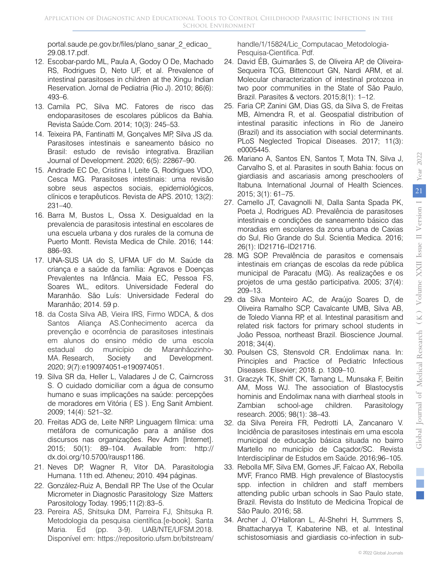portal.saude.pe.gov.br/files/plano\_sanar\_2\_edicao\_ 29.08.17.pdf.

- 12. Escobar-pardo ML, Paula A, Godoy O De, Machado RS, Rodrigues D, Neto UF, et al. Prevalence of intestinal parasitoses in children at the Xingu Indian Reservation. Jornal de Pediatria (Rio J). 2010; 86(6): 493–6.
- 13. Camila PC, Silva MC. Fatores de risco das endoparasitoses de escolares públicos da Bahia. Revista Saúde.Com. 2014; 10(3): 245–53.
- 14. Teixeira PA, Fantinatti M, Gonçalves MP, Silva JS da. Parasitoses intestinais e saneamento básico no Brasil: estudo de revisão integrativa. Brazilian Journal of Development. 2020; 6(5): 22867–90.
- 15. Andrade EC De, Cristina I, Leite G, Rodrigues VDO, Cesca MG. Parasitoses intestinais: uma revisão sobre seus aspectos sociais, epidemiológicos, clínicos e terapêuticos. Revista de APS. 2010; 13(2): 231–40.
- 16. Barra M, Bustos L, Ossa X. Desigualdad en la prevalencia de parasitosis intestinal en escolares de una escuela urbana y dos rurales de la comuna de Puerto Montt. Revista Medica de Chile. 2016; 144: 886–93.
- 17. UNA-SUS UA do S, UFMA UF do M. Saúde da criança e a saúde da família: Agravos e Doenças Prevalentes na Infância. Maia EC, Pessoa FS, Soares WL, editors. Universidade Federal do Maranhão. São Luís: Universidade Federal do Maranhão; 2014. 59 p.
- 18. da Costa Silva AB, Vieira IRS, Firmo WDCA, & dos Santos Aliança AS.Conhecimento acerca da prevenção e ocorrência de parasitoses intestinais em alunos do ensino médio de uma escola estadual do município de Maranhãozinho-MA. Research, Society and Development. 2020; *9*(7):e190974051-e190974051.
- 19. Silva SR da, Heller L, Valadares J de C, Cairncross S. O cuidado domiciliar com a água de consumo humano e suas implicações na saúde: percepções de moradores em Vitória ( ES ). Eng Sanit Ambient. 2009; 14(4): 521–32.
- 20. Freitas ADG de, Leite NRP. Linguagem fílmica: uma metáfora de comunicação para a análise dos discursos nas organizações. Rev Adm [Internet]. 2015; 50(1): 89–104. Available from: http:// dx.doi.org/10.5700/rausp1186.
- 21. Neves DP, Wagner R, Vitor DA. Parasitologia Humana. 11th ed. Atheneu; 2010. 494 páginas.
- 22. González-Ruiz A, Bendall RP. The Use of the Ocular Micrometer in Diagnostic Parasitology Size Matters: Parositology Today. 1995;11(2):83–5.
- 23. Pereira AS, Shitsuka DM, Parreira FJ, Shitsuka R. Metodologia da pesquisa científica.[e-book]. Santa Maria. Ed (pp. 3-9). UAB/NTE/UFSM.2018. Disponível em: https://repositorio.ufsm.br/bitstream/

handle/1/15824/Lic Computacao Metodologia-Pesquisa-Cientifica. Pdf.

- 24. David ÉB, Guimarães S, de Oliveira AP, de Oliveira-Sequeira TCG, Bittencourt GN, Nardi ARM, et al. Molecular characterization of intestinal protozoa in two poor communities in the State of São Paulo, Brazil. Parasites & vectors. 2015;8(1): 1–12.
- 25. Faria CP, Zanini GM, Dias GS, da Silva S, de Freitas MB, Almendra R, et al. Geospatial distribution of intestinal parasitic infections in Rio de Janeiro (Brazil) and its association with social determinants. PLoS Neglected Tropical Diseases. 2017; 11(3): e0005445.
- 26. Mariano A, Santos EN, Santos T, Mota TN, Silva J, Carvalho S, et al. Parasites in south Bahia: focus on giardiasis and ascariasis among preschoolers of Itabuna*.* International Journal of Health Sciences. 2015; 3(1): 61–75.
- 27. Camello JT, Cavagnolli NI, Dalla Santa Spada PK, Poeta J, Rodrigues AD. Prevalência de parasitoses intestinais e condições de saneamento básico das moradias em escolares da zona urbana de Caxias do Sul, Rio Grande do Sul. Scientia Medica. 2016; 26(1): ID21716–ID21716.
- 28. MG SOP. Prevalência de parasitos e comensais intestinais em crianças de escolas da rede pública municipal de Paracatu (MG). As realizações e os projetos de uma gestão participativa. 2005; 37(4): 209–13.
- 29. da Silva Monteiro AC, de Araújo Soares D, de Oliveira Ramalho SCP, Cavalcante UMB, Silva AB, de Toledo Vianna RP, et al. Intestinal parasitism and related risk factors for primary school students in João Pessoa, northeast Brazil. Bioscience Journal. 2018; 34(4).
- 30. Poulsen CS, Stensvold CR. Endolimax nana. In: Principles and Practice of Pediatric Infectious Diseases. Elsevier; 2018. p. 1309–10.
- 31. Graczyk TK, Shiff CK, Tamang L, Munsaka F, Beitin AM, Moss WJ. The association of Blastocystis hominis and Endolimax nana with diarrheal stools in Zambian school-age children. Parasitology research. 2005; 98(1): 38–43.
- 32. da Silva Pereira FR, Pedrotti LA, Zancanaro V. Incidência de parasitoses intestinais em uma escola municipal de educação básica situada no bairro Martello no município de Caçador/SC. Revista Interdisciplinar de Estudos em Saúde. 2016;96–105.
- 33. Rebolla MF, Silva EM, Gomes JF, Falcao AX, Rebolla MVF, Franco RMB. High prevalence of Blastocystis spp. infection in children and staff members attending public urban schools in Sao Paulo state, Brazil. Revista do Instituto de Medicina Tropical de São Paulo. 2016; 58.
- 34. Archer J, O'Halloran L, Al-Shehri H, Summers S, Bhattacharyya T, Kabaterine NB, et al. Intestinal schistosomiasis and giardiasis co-infection in sub-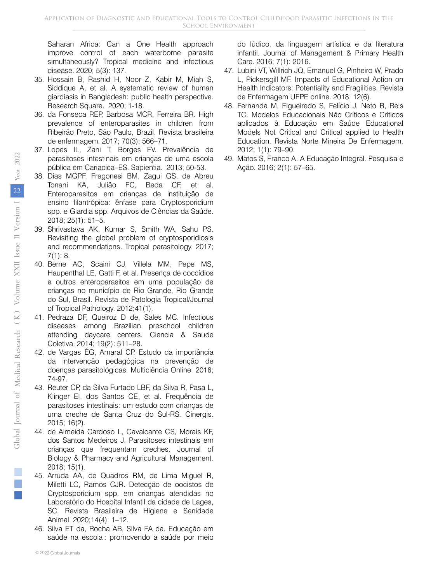Saharan Africa: Can a One Health approach improve control of each waterborne parasite simultaneously? Tropical medicine and infectious disease. 2020; 5(3): 137.

- 35. Hossain B, Rashid H, Noor Z, Kabir M, Miah S, Siddique A, et al. A systematic review of human giardiasis in Bangladesh: public health perspective. Research Square. 2020; 1-18.
- 36. da Fonseca REP, Barbosa MCR, Ferreira BR. High prevalence of enteroparasites in children from Ribeirão Preto, São Paulo, Brazil. Revista brasileira de enfermagem. 2017; 70(3): 566–71.
- 37. Lopes IL, Zani T, Borges FV. Prevalência de parasitoses intestinais em crianças de uma escola pública em Cariacica–ES. Sapientia. 2013; 50-53.
- 38. Dias MGPF, Fregonesi BM, Zagui GS, de Abreu Tonani KA, Julião FC, Beda CF, et al. Enteroparasitos em crianças de instituição de ensino filantrópica: ênfase para Cryptosporidium spp. e Giardia spp. Arquivos de Ciências da Saúde. 2018; 25(1): 51–5.
- 39. Shrivastava AK, Kumar S, Smith WA, Sahu PS. Revisiting the global problem of cryptosporidiosis and recommendations. Tropical parasitology. 2017; 7(1): 8.
- 40. Berne AC, Scaini CJ, Villela MM, Pepe MS, Haupenthal LE, Gatti F, et al. Presença de coccídios e outros enteroparasitos em uma população de crianças no município de Rio Grande, Rio Grande do Sul, Brasil. Revista de Patologia Tropical/Journal of Tropical Pathology. 2012;41(1).
- 41. Pedraza DF, Queiroz D de, Sales MC. Infectious diseases among Brazilian preschool children attending daycare centers. Ciencia & Saude Coletiva. 2014; 19(2): 511–28.
- 42. de Vargas ÉG, Amaral CP. Estudo da importância da intervenção pedagógica na prevenção de doenças parasitológicas. Multiciência Online. 2016; 74-97.
- 43. Reuter CP, da Silva Furtado LBF, da Silva R, Pasa L, Klinger EI, dos Santos CE, et al. Frequência de parasitoses intestinais: um estudo com crianças de uma creche de Santa Cruz do Sul-RS. Cinergis. 2015; 16(2).
- 44. de Almeida Cardoso L, Cavalcante CS, Morais KF, dos Santos Medeiros J. Parasitoses intestinais em crianças que frequentam creches. Journal of Biology & Pharmacy and Agricultural Management. 2018; 15(1).
- 45. Arruda AA, de Quadros RM, de Lima Miguel R, Miletti LC, Ramos CJR. Detecção de oocistos de Cryptosporidium spp. em crianças atendidas no Laboratório do Hospital Infantil da cidade de Lages, SC. Revista Brasileira de Higiene e Sanidade Animal. 2020;14(4): 1–12.
- 46. Silva ET da, Rocha AB, Silva FA da. Educação em saúde na escola : promovendo a saúde por meio

do lúdico, da linguagem artística e da literatura infantil. Journal of Management & Primary Health Care. 2016; 7(1): 2016.

- 47. Lubini VT, Willrich JQ, Emanuel G, Pinheiro W, Prado L, Pickersgill MF. Impacts of Educational Action on Health Indicators: Potentiality and Fragilities. Revista de Enfermagem UFPE online. 2018; 12(6).
- 48. Fernanda M, Figueiredo S, Felício J, Neto R, Reis TC. Modelos Educacionais Não Críticos e Críticos aplicados à Educação em Saúde Educational Models Not Critical and Critical applied to Health Education. Revista Norte Mineira De Enfermagem. 2012; 1(1): 79–90.
- 49. Matos S, Franco A. A Educação Integral. Pesquisa e Ação. 2016; 2(1): 57–65.

 $\mathcal{L}_{\mathcal{A}}$  $\mathbb{R}^2$